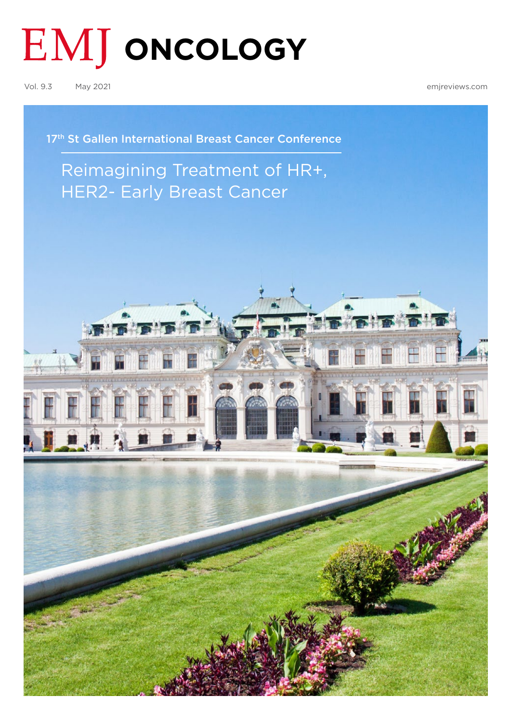# **EMJ ONCOLOGY**

Vol. 9.3 May 2021 [emjreviews.com](https://www.emjreviews.com/)

17<sup>th</sup> St Gallen International Breast Cancer Conference

## [Reimagining Treatment of HR+,](#page-1-0)  HER2- Early Breast Cancer

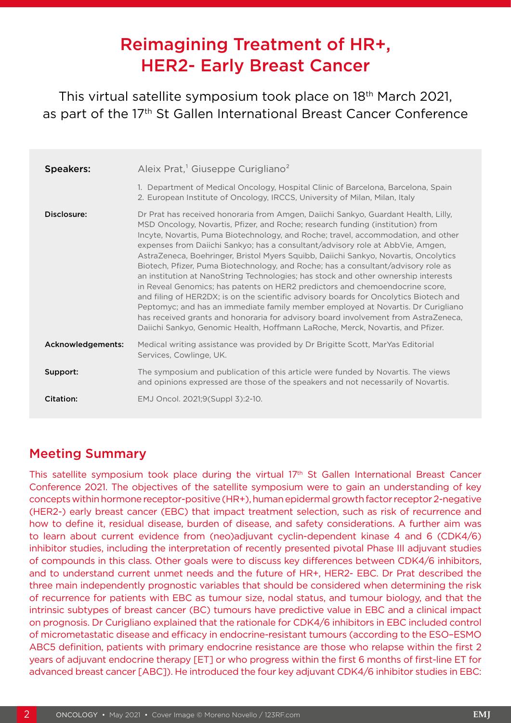## Reimagining Treatment of HR+, HER2- Early Breast Cancer

<span id="page-1-0"></span>This virtual satellite symposium took place on 18th March 2021, as part of the 17<sup>th</sup> St Gallen International Breast Cancer Conference

| <b>Speakers:</b>  | Aleix Prat, <sup>1</sup> Giuseppe Curigliano <sup>2</sup><br>1. Department of Medical Oncology, Hospital Clinic of Barcelona, Barcelona, Spain<br>2. European Institute of Oncology, IRCCS, University of Milan, Milan, Italy                                                                                                                                                                                                                                                                                                                                                                                                                                                                                                                                                                                                                                                                                                                                                                                                                      |
|-------------------|----------------------------------------------------------------------------------------------------------------------------------------------------------------------------------------------------------------------------------------------------------------------------------------------------------------------------------------------------------------------------------------------------------------------------------------------------------------------------------------------------------------------------------------------------------------------------------------------------------------------------------------------------------------------------------------------------------------------------------------------------------------------------------------------------------------------------------------------------------------------------------------------------------------------------------------------------------------------------------------------------------------------------------------------------|
| Disclosure:       | Dr Prat has received honoraria from Amgen, Daiichi Sankyo, Guardant Health, Lilly,<br>MSD Oncology, Novartis, Pfizer, and Roche; research funding (institution) from<br>Incyte, Novartis, Puma Biotechnology, and Roche; travel, accommodation, and other<br>expenses from Daiichi Sankyo; has a consultant/advisory role at AbbVie, Amgen,<br>AstraZeneca, Boehringer, Bristol Myers Squibb, Daiichi Sankyo, Novartis, Oncolytics<br>Biotech, Pfizer, Puma Biotechnology, and Roche; has a consultant/advisory role as<br>an institution at NanoString Technologies; has stock and other ownership interests<br>in Reveal Genomics; has patents on HER2 predictors and chemoendocrine score,<br>and filing of HER2DX; is on the scientific advisory boards for Oncolytics Biotech and<br>Peptomyc; and has an immediate family member employed at Novartis. Dr Curigliano<br>has received grants and honoraria for advisory board involvement from AstraZeneca,<br>Daiichi Sankyo, Genomic Health, Hoffmann LaRoche, Merck, Novartis, and Pfizer. |
| Acknowledgements: | Medical writing assistance was provided by Dr Brigitte Scott, MarYas Editorial<br>Services, Cowlinge, UK.                                                                                                                                                                                                                                                                                                                                                                                                                                                                                                                                                                                                                                                                                                                                                                                                                                                                                                                                          |
| Support:          | The symposium and publication of this article were funded by Novartis. The views<br>and opinions expressed are those of the speakers and not necessarily of Novartis.                                                                                                                                                                                                                                                                                                                                                                                                                                                                                                                                                                                                                                                                                                                                                                                                                                                                              |
| Citation:         | EMJ Oncol. 2021;9(Suppl 3):2-10.                                                                                                                                                                                                                                                                                                                                                                                                                                                                                                                                                                                                                                                                                                                                                                                                                                                                                                                                                                                                                   |

### Meeting Summary

This satellite symposium took place during the virtual 17th St Gallen International Breast Cancer Conference 2021. The objectives of the satellite symposium were to gain an understanding of key concepts within hormone receptor-positive (HR+), human epidermal growth factor receptor 2-negative (HER2-) early breast cancer (EBC) that impact treatment selection, such as risk of recurrence and how to define it, residual disease, burden of disease, and safety considerations. A further aim was to learn about current evidence from (neo)adjuvant cyclin-dependent kinase 4 and 6 (CDK4/6) inhibitor studies, including the interpretation of recently presented pivotal Phase III adjuvant studies of compounds in this class. Other goals were to discuss key differences between CDK4/6 inhibitors, and to understand current unmet needs and the future of HR+, HER2- EBC. Dr Prat described the three main independently prognostic variables that should be considered when determining the risk of recurrence for patients with EBC as tumour size, nodal status, and tumour biology, and that the intrinsic subtypes of breast cancer (BC) tumours have predictive value in EBC and a clinical impact on prognosis. Dr Curigliano explained that the rationale for CDK4/6 inhibitors in EBC included control of micrometastatic disease and efficacy in endocrine-resistant tumours (according to the ESO–ESMO ABC5 definition, patients with primary endocrine resistance are those who relapse within the first 2 years of adjuvant endocrine therapy [ET] or who progress within the first 6 months of first-line ET for advanced breast cancer [ABC]). He introduced the four key adjuvant CDK4/6 inhibitor studies in EBC: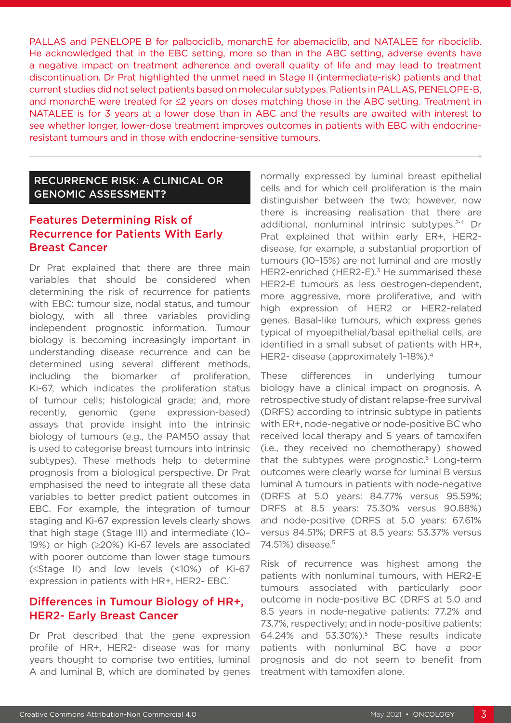PALLAS and PENELOPE B for palbociclib, monarchE for abemaciclib, and NATALEE for ribociclib. He acknowledged that in the EBC setting, more so than in the ABC setting, adverse events have a negative impact on treatment adherence and overall quality of life and may lead to treatment discontinuation. Dr Prat highlighted the unmet need in Stage II (intermediate-risk) patients and that current studies did not select patients based on molecular subtypes. Patients in PALLAS, PENELOPE-B, and monarchE were treated for ≤2 years on doses matching those in the ABC setting. Treatment in NATALEE is for 3 years at a lower dose than in ABC and the results are awaited with interest to see whether longer, lower-dose treatment improves outcomes in patients with EBC with endocrineresistant tumours and in those with endocrine-sensitive tumours.

#### RECURRENCE RISK: A CLINICAL OR GENOMIC ASSESSMENT?

#### Features Determining Risk of Recurrence for Patients With Early Breast Cancer

Dr Prat explained that there are three main variables that should be considered when determining the risk of recurrence for patients with EBC: tumour size, nodal status, and tumour biology, with all three variables providing independent prognostic information. Tumour biology is becoming increasingly important in understanding disease recurrence and can be determined using several different methods, including the biomarker of proliferation, Ki-67, which indicates the proliferation status of tumour cells; histological grade; and, more recently, genomic (gene expression-based) assays that provide insight into the intrinsic biology of tumours (e.g., the PAM50 assay that is used to categorise breast tumours into intrinsic subtypes). These methods help to determine prognosis from a biological perspective. Dr Prat emphasised the need to integrate all these data variables to better predict patient outcomes in EBC. For example, the integration of tumour staging and Ki-67 expression levels clearly shows that high stage (Stage III) and intermediate (10– 19%) or high (≥20%) Ki-67 levels are associated with poorer outcome than lower stage tumours (≤Stage II) and low levels (<10%) of Ki-67 expression in patients with HR+, HER2- EBC.<sup>1</sup>

#### Differences in Tumour Biology of HR+, HER2- Early Breast Cancer

Dr Prat described that the gene expression profile of HR+, HER2- disease was for many years thought to comprise two entities, luminal A and luminal B, which are dominated by genes

normally expressed by luminal breast epithelial cells and for which cell proliferation is the main distinguisher between the two; however, now there is increasing realisation that there are additional, nonluminal intrinsic subtypes.<sup>2-4</sup> Dr Prat explained that within early ER+, HER2 disease, for example, a substantial proportion of tumours (10–15%) are not luminal and are mostly HER2-enriched (HER2-E).<sup>3</sup> He summarised these HER2-E tumours as less oestrogen-dependent, more aggressive, more proliferative, and with high expression of HER2 or HER2-related genes. Basal-like tumours, which express genes typical of myoepithelial/basal epithelial cells, are identified in a small subset of patients with HR+, HER2- disease (approximately 1–18%).4

These differences in underlying tumour biology have a clinical impact on prognosis. A retrospective study of distant relapse-free survival (DRFS) according to intrinsic subtype in patients with ER+, node-negative or node-positive BC who received local therapy and 5 years of tamoxifen (i.e., they received no chemotherapy) showed that the subtypes were prognostic.<sup>5</sup> Long-term outcomes were clearly worse for luminal B versus luminal A tumours in patients with node-negative (DRFS at 5.0 years: 84.77% versus 95.59%; DRFS at 8.5 years: 75.30% versus 90.88%) and node-positive (DRFS at 5.0 years: 67.61% versus 84.51%; DRFS at 8.5 years: 53.37% versus 74.51%) disease.5

Risk of recurrence was highest among the patients with nonluminal tumours, with HER2-E tumours associated with particularly poor outcome in node-positive BC (DRFS at 5.0 and 8.5 years in node-negative patients: 77.2% and 73.7%, respectively; and in node-positive patients: 64.24% and 53.30%).5 These results indicate patients with nonluminal BC have a poor prognosis and do not seem to benefit from treatment with tamoxifen alone.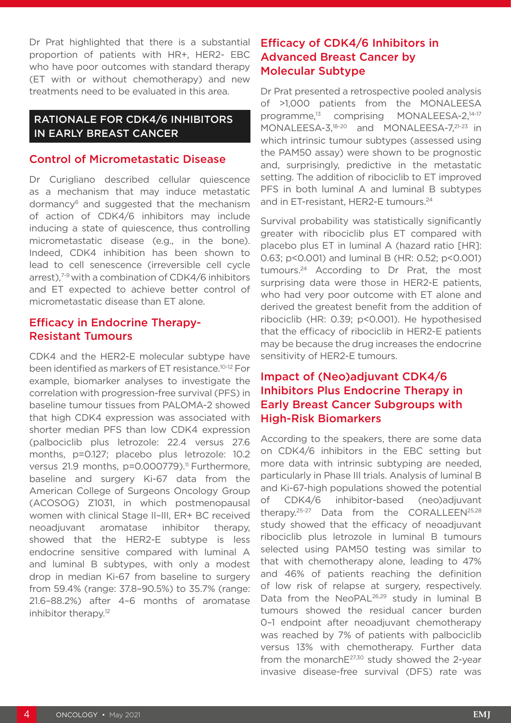Dr Prat highlighted that there is a substantial proportion of patients with HR+, HER2- EBC who have poor outcomes with standard therapy (ET with or without chemotherapy) and new treatments need to be evaluated in this area.

#### RATIONALE FOR CDK4/6 INHIBITORS IN EARLY BREAST CANCER

#### Control of Micrometastatic Disease

Dr Curigliano described cellular quiescence as a mechanism that may induce metastatic dormancy6 and suggested that the mechanism of action of CDK4/6 inhibitors may include inducing a state of quiescence, thus controlling micrometastatic disease (e.g., in the bone). Indeed, CDK4 inhibition has been shown to lead to cell senescence (irreversible cell cycle arrest),<sup>7-9</sup> with a combination of CDK4/6 inhibitors and ET expected to achieve better control of micrometastatic disease than ET alone.

#### Efficacy in Endocrine Therapy-Resistant Tumours

CDK4 and the HER2-E molecular subtype have been identified as markers of ET resistance.10-12 For example, biomarker analyses to investigate the correlation with progression-free survival (PFS) in baseline tumour tissues from PALOMA-2 showed that high CDK4 expression was associated with shorter median PFS than low CDK4 expression (palbociclib plus letrozole: 22.4 versus 27.6 months, p=0.127; placebo plus letrozole: 10.2 versus 21.9 months, p=0.000779).<sup>11</sup> Furthermore, baseline and surgery Ki-67 data from the American College of Surgeons Oncology Group (ACOSOG) Z1031, in which postmenopausal women with clinical Stage II–III, ER+ BC received neoadjuvant aromatase inhibitor therapy, showed that the HER2-E subtype is less endocrine sensitive compared with luminal A and luminal B subtypes, with only a modest drop in median Ki-67 from baseline to surgery from 59.4% (range: 37.8–90.5%) to 35.7% (range: 21.6–88.2%) after 4–6 months of aromatase inhibitor therapy.<sup>12</sup>

#### Efficacy of CDK4/6 Inhibitors in Advanced Breast Cancer by Molecular Subtype

Dr Prat presented a retrospective pooled analysis of >1,000 patients from the MONALEESA programme,<sup>13</sup> comprising MONALEESA-2.<sup>14-17</sup> MONALEESA-3,18-20 and MONALEESA-7,21-23 in which intrinsic tumour subtypes (assessed using the PAM50 assay) were shown to be prognostic and, surprisingly, predictive in the metastatic setting. The addition of ribociclib to ET improved PFS in both luminal A and luminal B subtypes and in ET-resistant, HER2-E tumours.<sup>24</sup>

Survival probability was statistically significantly greater with ribociclib plus ET compared with placebo plus ET in luminal A (hazard ratio [HR]: 0.63; p<0.001) and luminal B (HR: 0.52; p<0.001) tumours.24 According to Dr Prat, the most surprising data were those in HER2-E patients, who had very poor outcome with ET alone and derived the greatest benefit from the addition of ribociclib (HR: 0.39; p<0.001). He hypothesised that the efficacy of ribociclib in HER2-E patients may be because the drug increases the endocrine sensitivity of HER2-E tumours.

#### Impact of (Neo)adjuvant CDK4/6 Inhibitors Plus Endocrine Therapy in Early Breast Cancer Subgroups with High-Risk Biomarkers

According to the speakers, there are some data on CDK4/6 inhibitors in the EBC setting but more data with intrinsic subtyping are needed, particularly in Phase III trials. Analysis of luminal B and Ki-67-high populations showed the potential of CDK4/6 inhibitor-based (neo)adjuvant therapy.<sup>25-27</sup> Data from the CORALLEEN<sup>25,28</sup> study showed that the efficacy of neoadjuvant ribociclib plus letrozole in luminal B tumours selected using PAM50 testing was similar to that with chemotherapy alone, leading to 47% and 46% of patients reaching the definition of low risk of relapse at surgery, respectively. Data from the NeoPAL<sup>26,29</sup> study in luminal B tumours showed the residual cancer burden 0–1 endpoint after neoadjuvant chemotherapy was reached by 7% of patients with palbociclib versus 13% with chemotherapy. Further data from the monarch $E^{27,30}$  study showed the 2-year invasive disease-free survival (DFS) rate was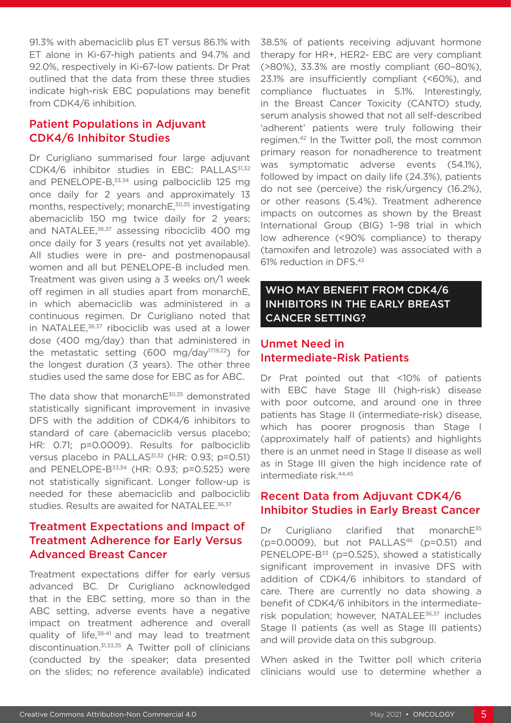91.3% with abemaciclib plus ET versus 86.1% with ET alone in Ki-67-high patients and 94.7% and 92.0%, respectively in Ki-67-low patients. Dr Prat outlined that the data from these three studies indicate high-risk EBC populations may benefit from CDK4/6 inhibition.

#### Patient Populations in Adjuvant CDK4/6 Inhibitor Studies

Dr Curigliano summarised four large adjuvant CDK4/6 inhibitor studies in EBC: PALLAS<sup>31,32</sup> and PENELOPE-B,<sup>33,34</sup> using palbociclib 125 mg once daily for 2 years and approximately 13 months, respectively; monarchE,<sup>30,35</sup> investigating abemaciclib 150 mg twice daily for 2 years; and NATALEE,<sup>36,37</sup> assessing ribociclib 400 mg once daily for 3 years (results not yet available). All studies were in pre- and postmenopausal women and all but PENELOPE-B included men. Treatment was given using a 3 weeks on/1 week off regimen in all studies apart from monarchE, in which abemaciclib was administered in a continuous regimen. Dr Curigliano noted that in NATALEE, $36,37$  ribociclib was used at a lower dose (400 mg/day) than that administered in the metastatic setting (600 mg/day<sup>17,19,22</sup>) for the longest duration (3 years). The other three studies used the same dose for EBC as for ABC.

The data show that monarchE<sup>30,35</sup> demonstrated statistically significant improvement in invasive DFS with the addition of CDK4/6 inhibitors to standard of care (abemaciclib versus placebo; HR: 0.71; p=0.0009). Results for palbociclib versus placebo in PALLAS<sup>31,32</sup> (HR; 0.93; p=0.51) and PENELOPE-B<sup>33,34</sup> (HR: 0.93; p=0.525) were not statistically significant. Longer follow-up is needed for these abemaciclib and palbociclib studies. Results are awaited for NATALEE.<sup>36,37</sup>

#### Treatment Expectations and Impact of Treatment Adherence for Early Versus Advanced Breast Cancer

Treatment expectations differ for early versus advanced BC. Dr Curigliano acknowledged that in the EBC setting, more so than in the ABC setting, adverse events have a negative impact on treatment adherence and overall quality of life, $38-41$  and may lead to treatment discontinuation.31,33,35 A Twitter poll of clinicians (conducted by the speaker; data presented on the slides; no reference available) indicated

38.5% of patients receiving adjuvant hormone therapy for HR+, HER2- EBC are very compliant (>80%), 33.3% are mostly compliant (60–80%), 23.1% are insufficiently compliant (<60%), and compliance fluctuates in 5.1%. Interestingly, in the Breast Cancer Toxicity (CANTO) study, serum analysis showed that not all self-described 'adherent' patients were truly following their regimen.42 In the Twitter poll, the most common primary reason for nonadherence to treatment was symptomatic adverse events (54.1%), followed by impact on daily life (24.3%), patients do not see (perceive) the risk/urgency (16.2%), or other reasons (5.4%). Treatment adherence impacts on outcomes as shown by the Breast International Group (BIG) 1–98 trial in which low adherence (<90% compliance) to therapy (tamoxifen and letrozole) was associated with a 61% reduction in DFS.43

#### WHO MAY BENEFIT FROM CDK4/6 INHIBITORS IN THE EARLY BREAST CANCER SETTING?

#### Unmet Need in Intermediate-Risk Patients

Dr Prat pointed out that <10% of patients with EBC have Stage III (high-risk) disease with poor outcome, and around one in three patients has Stage II (intermediate-risk) disease, which has poorer prognosis than Stage I (approximately half of patients) and highlights there is an unmet need in Stage II disease as well as in Stage III given the high incidence rate of intermediate risk.44,45

#### Recent Data from Adjuvant CDK4/6 Inhibitor Studies in Early Breast Cancer

Dr Curigliano clarified that monarchE<sup>35</sup> ( $p=0.0009$ ), but not PALLAS<sup>46</sup> ( $p=0.51$ ) and PENELOPE-B<sup>33</sup> (p=0.525), showed a statistically significant improvement in invasive DFS with addition of CDK4/6 inhibitors to standard of care. There are currently no data showing a benefit of CDK4/6 inhibitors in the intermediaterisk population; however, NATALEE<sup>36,37</sup> includes Stage II patients (as well as Stage III patients) and will provide data on this subgroup.

When asked in the Twitter poll which criteria clinicians would use to determine whether a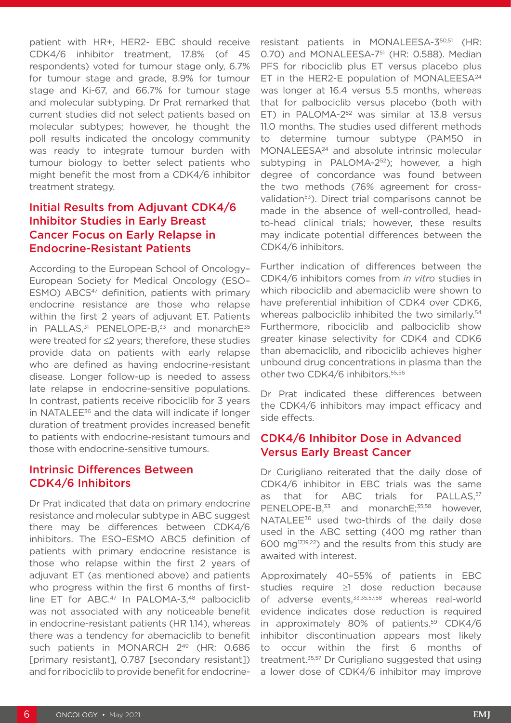patient with HR+, HER2- EBC should receive CDK4/6 inhibitor treatment, 17.8% (of 45 respondents) voted for tumour stage only, 6.7% for tumour stage and grade, 8.9% for tumour stage and Ki-67, and 66.7% for tumour stage and molecular subtyping. Dr Prat remarked that current studies did not select patients based on molecular subtypes; however, he thought the poll results indicated the oncology community was ready to integrate tumour burden with tumour biology to better select patients who might benefit the most from a CDK4/6 inhibitor treatment strategy.

#### Initial Results from Adjuvant CDK4/6 Inhibitor Studies in Early Breast Cancer Focus on Early Relapse in Endocrine-Resistant Patients

According to the European School of Oncology– European Society for Medical Oncology (ESO– ESMO) ABC5<sup>47</sup> definition, patients with primary endocrine resistance are those who relapse within the first 2 years of adjuvant ET. Patients in PALLAS, $31$  PENELOPE-B, $33$  and monarch $E^{35}$ were treated for ≤2 years; therefore, these studies provide data on patients with early relapse who are defined as having endocrine-resistant disease. Longer follow-up is needed to assess late relapse in endocrine-sensitive populations. In contrast, patients receive ribociclib for 3 years in NATALEE<sup>36</sup> and the data will indicate if longer duration of treatment provides increased benefit to patients with endocrine-resistant tumours and those with endocrine-sensitive tumours.

#### Intrinsic Differences Between CDK4/6 Inhibitors

Dr Prat indicated that data on primary endocrine resistance and molecular subtype in ABC suggest there may be differences between CDK4/6 inhibitors. The ESO–ESMO ABC5 definition of patients with primary endocrine resistance is those who relapse within the first 2 years of adjuvant ET (as mentioned above) and patients who progress within the first 6 months of firstline ET for ABC.<sup>47</sup> In PALOMA-3.<sup>48</sup> palbociclib was not associated with any noticeable benefit in endocrine-resistant patients (HR 1.14), whereas there was a tendency for abemaciclib to benefit such patients in MONARCH 2<sup>49</sup> (HR: 0.686 [primary resistant], 0.787 [secondary resistant]) and for ribociclib to provide benefit for endocrineresistant patients in MONALEESA-350,51 (HR: 0.70) and MONALEESA-7<sup>51</sup> (HR: 0.588). Median PFS for ribociclib plus ET versus placebo plus ET in the HER2-E population of MONALEESA<sup>24</sup> was longer at 16.4 versus 5.5 months, whereas that for palbociclib versus placebo (both with ET) in PALOMA-2<sup>52</sup> was similar at 13.8 versus 11.0 months. The studies used different methods to determine tumour subtype (PAM50 in MONALEESA24 and absolute intrinsic molecular subtyping in PALOMA-2<sup>52</sup>); however, a high degree of concordance was found between the two methods (76% agreement for crossvalidation<sup>53</sup>). Direct trial comparisons cannot be made in the absence of well-controlled, headto-head clinical trials; however, these results may indicate potential differences between the CDK4/6 inhibitors.

Further indication of differences between the CDK4/6 inhibitors comes from *in vitro* studies in which ribociclib and abemaciclib were shown to have preferential inhibition of CDK4 over CDK6, whereas palbociclib inhibited the two similarly.<sup>54</sup> Furthermore, ribociclib and palbociclib show greater kinase selectivity for CDK4 and CDK6 than abemaciclib, and ribociclib achieves higher unbound drug concentrations in plasma than the other two CDK4/6 inhibitors.<sup>55,56</sup>

Dr Prat indicated these differences between the CDK4/6 inhibitors may impact efficacy and side effects.

#### CDK4/6 Inhibitor Dose in Advanced Versus Early Breast Cancer

Dr Curigliano reiterated that the daily dose of CDK4/6 inhibitor in EBC trials was the same as that for ABC trials for PALLAS,<sup>57</sup> PENELOPE-B<sup>33</sup> and monarchE:<sup>35,58</sup> however, NATALEE<sup>36</sup> used two-thirds of the daily dose used in the ABC setting (400 mg rather than 600 mg17,19,22) and the results from this study are awaited with interest.

Approximately 40–55% of patients in EBC studies require ≥1 dose reduction because of adverse events.<sup>33,35,57,58</sup> whereas real-world evidence indicates dose reduction is required in approximately 80% of patients.<sup>59</sup> CDK4/6 inhibitor discontinuation appears most likely to occur within the first 6 months of treatment.35,57 Dr Curigliano suggested that using a lower dose of CDK4/6 inhibitor may improve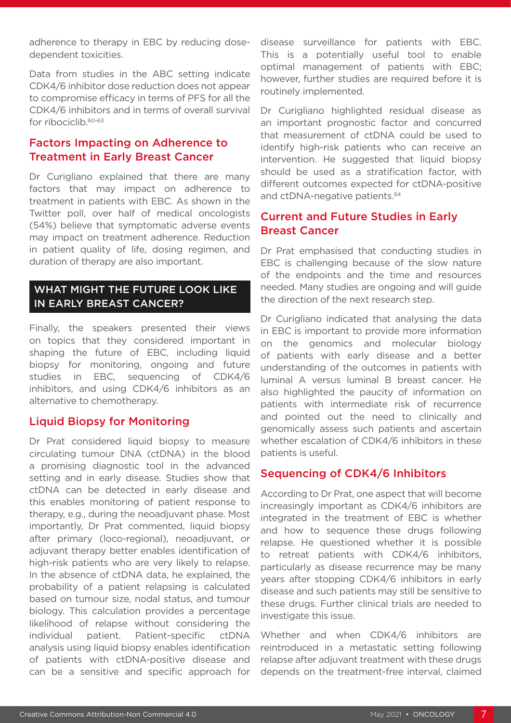adherence to therapy in EBC by reducing dosedependent toxicities.

Data from studies in the ABC setting indicate CDK4/6 inhibitor dose reduction does not appear to compromise efficacy in terms of PFS for all the CDK4/6 inhibitors and in terms of overall survival for ribociclib.<sup>60-63</sup>

#### Factors Impacting on Adherence to Treatment in Early Breast Cancer

Dr Curigliano explained that there are many factors that may impact on adherence to treatment in patients with EBC. As shown in the Twitter poll, over half of medical oncologists (54%) believe that symptomatic adverse events may impact on treatment adherence. Reduction in patient quality of life, dosing regimen, and duration of therapy are also important.

#### WHAT MIGHT THE FUTURE LOOK LIKE IN EARLY BREAST CANCER?

Finally, the speakers presented their views on topics that they considered important in shaping the future of EBC, including liquid biopsy for monitoring, ongoing and future studies in EBC, sequencing of CDK4/6 inhibitors, and using CDK4/6 inhibitors as an alternative to chemotherapy.

#### Liquid Biopsy for Monitoring

Dr Prat considered liquid biopsy to measure circulating tumour DNA (ctDNA) in the blood a promising diagnostic tool in the advanced setting and in early disease. Studies show that ctDNA can be detected in early disease and this enables monitoring of patient response to therapy, e.g., during the neoadjuvant phase. Most importantly, Dr Prat commented, liquid biopsy after primary (loco-regional), neoadjuvant, or adjuvant therapy better enables identification of high-risk patients who are very likely to relapse. In the absence of ctDNA data, he explained, the probability of a patient relapsing is calculated based on tumour size, nodal status, and tumour biology. This calculation provides a percentage likelihood of relapse without considering the individual patient. Patient-specific ctDNA analysis using liquid biopsy enables identification of patients with ctDNA-positive disease and can be a sensitive and specific approach for

disease surveillance for patients with EBC. This is a potentially useful tool to enable optimal management of patients with EBC; however, further studies are required before it is routinely implemented.

Dr Curigliano highlighted residual disease as an important prognostic factor and concurred that measurement of ctDNA could be used to identify high-risk patients who can receive an intervention. He suggested that liquid biopsy should be used as a stratification factor, with different outcomes expected for ctDNA-positive and ctDNA-negative patients.<sup>64</sup>

#### Current and Future Studies in Early Breast Cancer

Dr Prat emphasised that conducting studies in EBC is challenging because of the slow nature of the endpoints and the time and resources needed. Many studies are ongoing and will guide the direction of the next research step.

Dr Curigliano indicated that analysing the data in EBC is important to provide more information on the genomics and molecular biology of patients with early disease and a better understanding of the outcomes in patients with luminal A versus luminal B breast cancer. He also highlighted the paucity of information on patients with intermediate risk of recurrence and pointed out the need to clinically and genomically assess such patients and ascertain whether escalation of CDK4/6 inhibitors in these patients is useful.

#### Sequencing of CDK4/6 Inhibitors

According to Dr Prat, one aspect that will become increasingly important as CDK4/6 inhibitors are integrated in the treatment of EBC is whether and how to sequence these drugs following relapse. He questioned whether it is possible to retreat patients with CDK4/6 inhibitors, particularly as disease recurrence may be many years after stopping CDK4/6 inhibitors in early disease and such patients may still be sensitive to these drugs. Further clinical trials are needed to investigate this issue.

Whether and when CDK4/6 inhibitors are reintroduced in a metastatic setting following relapse after adjuvant treatment with these drugs depends on the treatment-free interval, claimed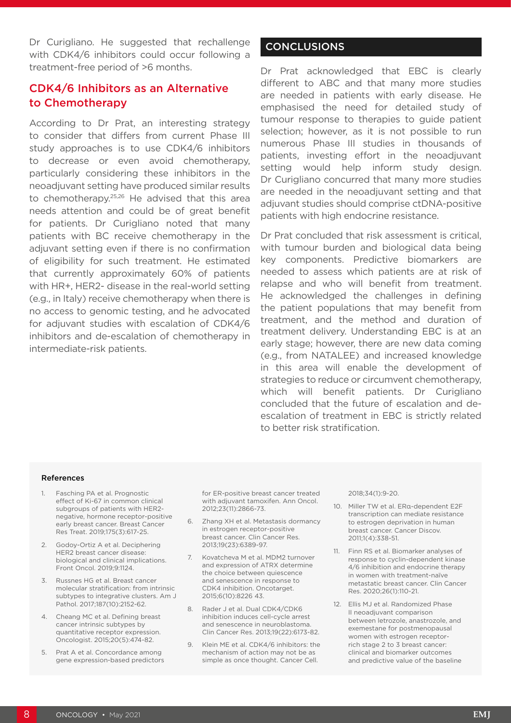Dr Curigliano. He suggested that rechallenge with CDK4/6 inhibitors could occur following a treatment-free period of >6 months.

#### CDK4/6 Inhibitors as an Alternative to Chemotherapy

According to Dr Prat, an interesting strategy to consider that differs from current Phase III study approaches is to use CDK4/6 inhibitors to decrease or even avoid chemotherapy, particularly considering these inhibitors in the neoadjuvant setting have produced similar results to chemotherapy.25,26 He advised that this area needs attention and could be of great benefit for patients. Dr Curigliano noted that many patients with BC receive chemotherapy in the adjuvant setting even if there is no confirmation of eligibility for such treatment. He estimated that currently approximately 60% of patients with HR+, HER2- disease in the real-world setting (e.g., in Italy) receive chemotherapy when there is no access to genomic testing, and he advocated for adjuvant studies with escalation of CDK4/6 inhibitors and de-escalation of chemotherapy in intermediate-risk patients.

#### **CONCLUSIONS**

Dr Prat acknowledged that EBC is clearly different to ABC and that many more studies are needed in patients with early disease. He emphasised the need for detailed study of tumour response to therapies to guide patient selection; however, as it is not possible to run numerous Phase III studies in thousands of patients, investing effort in the neoadjuvant setting would help inform study design. Dr Curigliano concurred that many more studies are needed in the neoadjuvant setting and that adjuvant studies should comprise ctDNA-positive patients with high endocrine resistance.

Dr Prat concluded that risk assessment is critical, with tumour burden and biological data being key components. Predictive biomarkers are needed to assess which patients are at risk of relapse and who will benefit from treatment. He acknowledged the challenges in defining the patient populations that may benefit from treatment, and the method and duration of treatment delivery. Understanding EBC is at an early stage; however, there are new data coming (e.g., from NATALEE) and increased knowledge in this area will enable the development of strategies to reduce or circumvent chemotherapy, which will benefit patients. Dr Curigliano concluded that the future of escalation and deescalation of treatment in EBC is strictly related to better risk stratification.

#### References

- 1. Fasching PA et al. Prognostic effect of Ki-67 in common clinical subgroups of patients with HER2 negative, hormone receptor-positive early breast cancer. Breast Cancer Res Treat. 2019;175(3):617-25.
- 2. Godoy-Ortiz A et al. Deciphering HER2 breast cancer disease: biological and clinical implications. Front Oncol. 2019;9:1124.
- 3. Russnes HG et al. Breast cancer molecular stratification: from intrinsic subtypes to integrative clusters. Am J Pathol. 2017;187(10):2152-62.
- 4. Cheang MC et al. Defining breast cancer intrinsic subtypes by quantitative receptor expression. Oncologist. 2015;20(5):474-82.
- 5. Prat A et al. Concordance among gene expression-based predictors

for ER-positive breast cancer treated with adjuvant tamoxifen. Ann Oncol. 2012;23(11):2866-73.

- 6. Zhang XH et al. Metastasis dormancy in estrogen receptor-positive breast cancer. Clin Cancer Res. 2013;19(23):6389-97.
- 7. Kovatcheva M et al. MDM2 turnover and expression of ATRX determine the choice between quiescence and senescence in response to CDK4 inhibition. Oncotarget. 2015;6(10):8226 43.
- 8. Rader J et al. Dual CDK4/CDK6 inhibition induces cell-cycle arrest and senescence in neuroblastoma. Clin Cancer Res. 2013;19(22):6173-82.
- 9. Klein ME et al. CDK4/6 inhibitors: the mechanism of action may not be as simple as once thought. Cancer Cell.

2018;34(1):9-20.

- 10. Miller TW et al. ERα-dependent E2F transcription can mediate resistance to estrogen deprivation in human breast cancer. Cancer Discov. 2011;1(4):338-51.
- 11. Finn RS et al. Biomarker analyses of response to cyclin-dependent kinase 4/6 inhibition and endocrine therapy in women with treatment-naïve metastatic breast cancer. Clin Cancer Res. 2020;26(1):110-21.
- 12. Ellis MJ et al. Randomized Phase II neoadjuvant comparison between letrozole, anastrozole, and exemestane for postmenopausal women with estrogen receptorrich stage 2 to 3 breast cancer: clinical and biomarker outcomes and predictive value of the baseline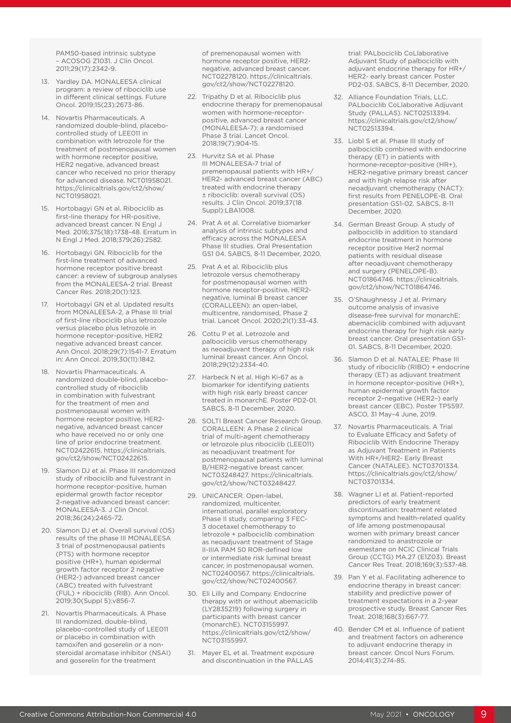PAM50-based intrinsic subtype – ACOSOG Z1031. J Clin Oncol. 2011;29(17):2342-9.

- 13. Yardley DA. MONALEESA clinical program: a review of ribociclib use in different clinical settings. Future Oncol. 2019;15(23):2673-86.
- 14. Novartis Pharmaceuticals. A randomized double-blind, placebocontrolled study of LEE011 in combination with letrozole for the treatment of postmenopausal women with hormone receptor positive. HER2 negative, advanced breast cancer who received no prior therapy for advanced disease. NCT01958021. https://clinicaltrials.gov/ct2/show/ NCT01958021.
- 15. Hortobagyi GN et al. Ribociclib as first-line therapy for HR-positive, advanced breast cancer. N Engl J Med. 2016;375(18):1738-48. Erratum in N Engl J Med. 2018;379(26):2582.
- 16. Hortobagyi GN. Ribociclib for the first-line treatment of advanced hormone receptor positive breast cancer: a review of subgroup analyses from the MONALEESA-2 trial. Breast Cancer Res. 2018;20(1):123.
- 17. Hortobagyi GN et al. Updated results from MONALEESA-2, a Phase III trial of first-line ribociclib plus letrozole versus placebo plus letrozole in hormone receptor-positive, HER2 negative advanced breast cancer. Ann Oncol. 2018;29(7):1541-7. Erratum in: Ann Oncol. 2019;30(11):1842.
- 18. Novartis Pharmaceuticals. A randomized double-blind, placebocontrolled study of ribociclib in combination with fulvestrant for the treatment of men and postmenopausal women with hormone receptor positive, HER2 negative, advanced breast cancer who have received no or only one line of prior endocrine treatment. NCT02422615. https://clinicaltrials. gov/ct2/show/NCT02422615.
- 19. Slamon DJ et al. Phase III randomized study of ribociclib and fulvestrant in hormone receptor-positive, human epidermal growth factor receptor 2-negative advanced breast cancer: MONALEESA-3. J Clin Oncol. 2018;36(24):2465-72.
- 20. Slamon DJ et al. Overall survival (OS) results of the phase III MONALEESA 3 trial of postmenopausal patients (PTS) with hormone receptor positive (HR+), human epidermal growth factor receptor 2 negative (HER2-) advanced breast cancer (ABC) treated with fulvestrant (FUL) + ribociclib (RIB). Ann Oncol. 2019;30(Suppl 5):v856-7.
- 21. Novartis Pharmaceuticals. A Phase III randomized, double-blind, placebo-controlled study of LEE011 or placebo in combination with tamoxifen and goserelin or a nonsteroidal aromatase inhibitor (NSAI) and goserelin for the treatment

of premenopausal women with hormone receptor positive, HER2 negative, advanced breast cancer. NCT02278120. https://clinicaltrials. gov/ct2/show/NCT02278120.

- 22. Tripathy D et al. Ribociclib plus endocrine therapy for premenopausal women with hormone-receptorpositive, advanced breast cancer (MONALEESA-7): a randomised Phase 3 trial. Lancet Oncol. 2018;19(7):904-15.
- 23. Hurvitz SA et al. Phase III MONALEESA-7 trial of premenopausal patients with HR+/ HER2- advanced breast cancer (ABC) treated with endocrine therapy ± ribociclib: overall survival (OS) results. J Clin Oncol. 2019;37(18 Suppl):LBA1008.
- 24. Prat A et al. Correlative biomarker analysis of intrinsic subtypes and efficacy across the MONALEESA Phase III studies. Oral Presentation GS1 04. SABCS, 8-11 December, 2020.
- 25. Prat A et al. Ribociclib plus letrozole versus chemotherapy for postmenopausal women with hormone receptor-positive, HER2 negative, luminal B breast cancer (CORALLEEN): an open-label, multicentre, randomised, Phase 2 trial. Lancet Oncol. 2020;21(1):33-43.
- 26. Cottu P et al. Letrozole and palbociclib versus chemotherapy as neoadjuvant therapy of high risk luminal breast cancer. Ann Oncol. 2018;29(12):2334-40.
- 27. Harbeck N et al. High Ki-67 as a biomarker for identifying patients with high risk early breast cancer treated in monarchE. Poster PD2-01. SABCS, 8-11 December, 2020.
- 28. SOLTI Breast Cancer Research Group. CORALLEEN: A Phase 2 clinical trial of multi-agent chemotherapy or letrozole plus ribociclib (LEE011) as neoadjuvant treatment for postmenopausal patients with luminal B/HER2-negative breast cancer. NCT03248427. https://clinicaltrials. gov/ct2/show/NCT03248427.
- 29. UNICANCER. Open-label, randomized, multicenter, international, parallel exploratory Phase II study, comparing 3 FEC-3 docetaxel chemotherapy to letrozole + palbociclib combination as neoadjuvant treatment of Stage II-IIIA PAM 50 ROR-defined low or intermediate risk luminal breast cancer, in postmenopausal women. NCT02400567. https://clinicaltrials. gov/ct2/show/NCT02400567.
- 30. Eli Lilly and Company. Endocrine therapy with or without abemaciclib (LY2835219) following surgery in participants with breast cancer (monarchE). NCT03155997. https://clinicaltrials.gov/ct2/show/ NCT03155997.
- 31. Mayer EL et al. Treatment exposure and discontinuation in the PALLAS

trial: PALbociclib CoLlaborative Adjuvant Study of palbociclib with adjuvant endocrine therapy for HR+/ HER2- early breast cancer. Poster PD2-03. SABCS, 8-11 December, 2020.

- 32. Alliance Foundation Trials, LLC. PALbociclib CoLlaborative Adjuvant Study (PALLAS). NCT02513394. https://clinicaltrials.gov/ct2/show/ NCT02513394.
- 33. Liobl S et al. Phase III study of palbociclib combined with endocrine therapy (ET) in patients with hormone-receptor-positive (HR+), HER2-negative primary breast cancer and with high relapse risk after neoadjuvant chemotherapy (NACT): first results from PENELOPE-B. Oral presentation GS1-02. SABCS, 8-11 December, 2020.
- 34. German Breast Group. A study of palbociclib in addition to standard endocrine treatment in hormone receptor positive Her2 normal patients with residual disease after neoadjuvant chemotherapy and surgery (PENELOPE-B). NCT01864746. https://clinicaltrials. gov/ct2/show/NCT01864746.
- 35. O'Shaughnessy J et al. Primary outcome analysis of invasive disease-free survival for monarchE: abemaciclib combined with adjuvant endocrine therapy for high risk early breast cancer. Oral presentation GS1- 01. SABCS, 8-11 December, 2020.
- 36. Slamon D et al. NATALEE: Phase III study of ribociclib (RIBO) + endocrine therapy (ET) as adjuvant treatment in hormone receptor-positive (HR+), human epidermal growth factor receptor 2–negative (HER2–) early breast cancer (EBC). Poster TPS597. ASCO, 31 May–4 June, 2019.
- 37. Novartis Pharmaceuticals. A Trial to Evaluate Efficacy and Safety of Ribociclib With Endocrine Therapy as Adjuvant Treatment in Patients With HR+/HER2- Early Breast Cancer (NATALEE). NCT03701334. https://clinicaltrials.gov/ct2/show/ NCT03701334.
- 38. Wagner LI et al. Patient-reported predictors of early treatment discontinuation: treatment related symptoms and health-related quality of life among postmenopausal women with primary breast cancer randomized to anastrozole or exemestane on NCIC Clinical Trials Group (CCTG) MA.27 (E1Z03). Breast Cancer Res Treat. 2018;169(3):537-48.
- 39. Pan Y et al. Facilitating adherence to endocrine therapy in breast cancer: stability and predictive power of treatment expectations in a 2-year prospective study. Breast Cancer Res Treat. 2018;168(3):667-77.
- 40. Bender CM et al. Influence of patient and treatment factors on adherence to adjuvant endocrine therapy in breast cancer. Oncol Nurs Forum. 2014;41(3):274-85.